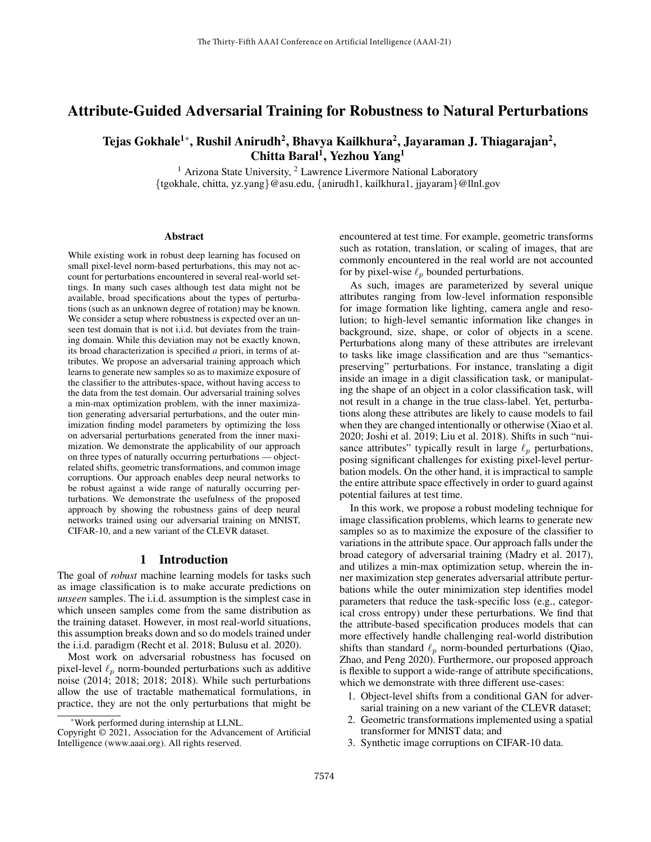# Attribute-Guided Adversarial Training for Robustness to Natural Perturbations

# Tejas Gokhale $^{1*}$ , Rushil Anirudh $^{2}$ , Bhavya Kailkhura $^{2}$ , Jayaraman J. Thiagarajan $^{2}$ , Chitta Baral<sup>1</sup>, Yezhou Yang<sup>1</sup>

 $<sup>1</sup>$  Arizona State University,  $<sup>2</sup>$  Lawrence Livermore National Laboratory</sup></sup> {tgokhale, chitta, yz.yang}@asu.edu, {anirudh1, kailkhura1, jjayaram}@llnl.gov

#### **Abstract**

While existing work in robust deep learning has focused on small pixel-level norm-based perturbations, this may not account for perturbations encountered in several real-world settings. In many such cases although test data might not be available, broad specifications about the types of perturbations (such as an unknown degree of rotation) may be known. We consider a setup where robustness is expected over an unseen test domain that is not i.i.d. but deviates from the training domain. While this deviation may not be exactly known, its broad characterization is specified *a* priori, in terms of attributes. We propose an adversarial training approach which learns to generate new samples so as to maximize exposure of the classifier to the attributes-space, without having access to the data from the test domain. Our adversarial training solves a min-max optimization problem, with the inner maximization generating adversarial perturbations, and the outer minimization finding model parameters by optimizing the loss on adversarial perturbations generated from the inner maximization. We demonstrate the applicability of our approach on three types of naturally occurring perturbations — objectrelated shifts, geometric transformations, and common image corruptions. Our approach enables deep neural networks to be robust against a wide range of naturally occurring perturbations. We demonstrate the usefulness of the proposed approach by showing the robustness gains of deep neural networks trained using our adversarial training on MNIST, CIFAR-10, and a new variant of the CLEVR dataset.

## 1 Introduction

The goal of *robust* machine learning models for tasks such as image classification is to make accurate predictions on *unseen* samples. The i.i.d. assumption is the simplest case in which unseen samples come from the same distribution as the training dataset. However, in most real-world situations, this assumption breaks down and so do models trained under the i.i.d. paradigm (Recht et al. 2018; Bulusu et al. 2020).

Most work on adversarial robustness has focused on pixel-level  $\ell_p$  norm-bounded perturbations such as additive noise (2014; 2018; 2018; 2018). While such perturbations allow the use of tractable mathematical formulations, in practice, they are not the only perturbations that might be

encountered at test time. For example, geometric transforms such as rotation, translation, or scaling of images, that are commonly encountered in the real world are not accounted for by pixel-wise  $\ell_p$  bounded perturbations.

As such, images are parameterized by several unique attributes ranging from low-level information responsible for image formation like lighting, camera angle and resolution; to high-level semantic information like changes in background, size, shape, or color of objects in a scene. Perturbations along many of these attributes are irrelevant to tasks like image classification and are thus "semanticspreserving" perturbations. For instance, translating a digit inside an image in a digit classification task, or manipulating the shape of an object in a color classification task, will not result in a change in the true class-label. Yet, perturbations along these attributes are likely to cause models to fail when they are changed intentionally or otherwise (Xiao et al. 2020; Joshi et al. 2019; Liu et al. 2018). Shifts in such "nuisance attributes" typically result in large  $\ell_p$  perturbations, posing significant challenges for existing pixel-level perturbation models. On the other hand, it is impractical to sample the entire attribute space effectively in order to guard against potential failures at test time.

In this work, we propose a robust modeling technique for image classification problems, which learns to generate new samples so as to maximize the exposure of the classifier to variations in the attribute space. Our approach falls under the broad category of adversarial training (Madry et al. 2017), and utilizes a min-max optimization setup, wherein the inner maximization step generates adversarial attribute perturbations while the outer minimization step identifies model parameters that reduce the task-specific loss (e.g., categorical cross entropy) under these perturbations. We find that the attribute-based specification produces models that can more effectively handle challenging real-world distribution shifts than standard  $\ell_p$  norm-bounded perturbations (Qiao, Zhao, and Peng 2020). Furthermore, our proposed approach is flexible to support a wide-range of attribute specifications, which we demonstrate with three different use-cases:

- 1. Object-level shifts from a conditional GAN for adversarial training on a new variant of the CLEVR dataset;
- 2. Geometric transformations implemented using a spatial transformer for MNIST data; and
- 3. Synthetic image corruptions on CIFAR-10 data.

<sup>\*</sup>Work performed during internship at LLNL.

Copyright © 2021, Association for the Advancement of Artificial Intelligence (www.aaai.org). All rights reserved.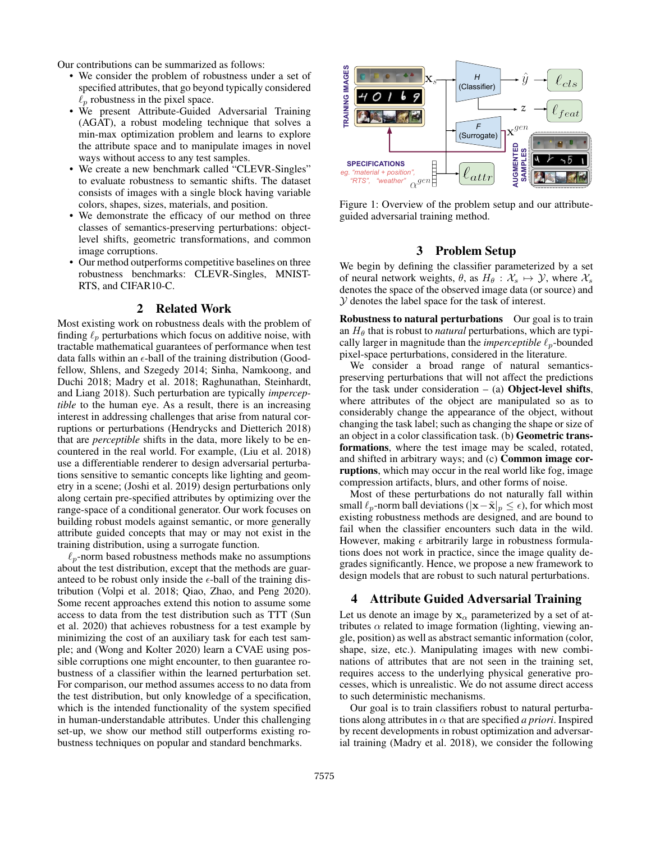Our contributions can be summarized as follows:

- We consider the problem of robustness under a set of specified attributes, that go beyond typically considered  $\ell_p$  robustness in the pixel space.
- We present Attribute-Guided Adversarial Training (AGAT), a robust modeling technique that solves a min-max optimization problem and learns to explore the attribute space and to manipulate images in novel ways without access to any test samples.
- We create a new benchmark called "CLEVR-Singles" to evaluate robustness to semantic shifts. The dataset consists of images with a single block having variable colors, shapes, sizes, materials, and position.
- We demonstrate the efficacy of our method on three classes of semantics-preserving perturbations: objectlevel shifts, geometric transformations, and common image corruptions.
- Our method outperforms competitive baselines on three robustness benchmarks: CLEVR-Singles, MNIST-RTS, and CIFAR10-C.

## 2 Related Work

Most existing work on robustness deals with the problem of finding  $\ell_p$  perturbations which focus on additive noise, with tractable mathematical guarantees of performance when test data falls within an  $\epsilon$ -ball of the training distribution (Goodfellow, Shlens, and Szegedy 2014; Sinha, Namkoong, and Duchi 2018; Madry et al. 2018; Raghunathan, Steinhardt, and Liang 2018). Such perturbation are typically *imperceptible* to the human eye. As a result, there is an increasing interest in addressing challenges that arise from natural corruptions or perturbations (Hendrycks and Dietterich 2018) that are *perceptible* shifts in the data, more likely to be encountered in the real world. For example, (Liu et al. 2018) use a differentiable renderer to design adversarial perturbations sensitive to semantic concepts like lighting and geometry in a scene; (Joshi et al. 2019) design perturbations only along certain pre-specified attributes by optimizing over the range-space of a conditional generator. Our work focuses on building robust models against semantic, or more generally attribute guided concepts that may or may not exist in the training distribution, using a surrogate function.

 $\ell_p$ -norm based robustness methods make no assumptions about the test distribution, except that the methods are guaranteed to be robust only inside the  $\epsilon$ -ball of the training distribution (Volpi et al. 2018; Qiao, Zhao, and Peng 2020). Some recent approaches extend this notion to assume some access to data from the test distribution such as TTT (Sun et al. 2020) that achieves robustness for a test example by minimizing the cost of an auxiliary task for each test sample; and (Wong and Kolter 2020) learn a CVAE using possible corruptions one might encounter, to then guarantee robustness of a classifier within the learned perturbation set. For comparison, our method assumes access to no data from the test distribution, but only knowledge of a specification, which is the intended functionality of the system specified in human-understandable attributes. Under this challenging set-up, we show our method still outperforms existing robustness techniques on popular and standard benchmarks.



Figure 1: Overview of the problem setup and our attributeguided adversarial training method.

## 3 Problem Setup

We begin by defining the classifier parameterized by a set of neural network weights,  $\theta$ , as  $H_{\theta} : \mathcal{X}_s \mapsto \mathcal{Y}$ , where  $\mathcal{X}_s$ denotes the space of the observed image data (or source) and Y denotes the label space for the task of interest.

Robustness to natural perturbations Our goal is to train an  $H_\theta$  that is robust to *natural* perturbations, which are typically larger in magnitude than the *imperceptible*  $\ell_p$ -bounded pixel-space perturbations, considered in the literature.

We consider a broad range of natural semanticspreserving perturbations that will not affect the predictions for the task under consideration  $-$  (a) Object-level shifts, where attributes of the object are manipulated so as to considerably change the appearance of the object, without changing the task label; such as changing the shape or size of an object in a color classification task. (b) Geometric transformations, where the test image may be scaled, rotated, and shifted in arbitrary ways; and (c) Common image corruptions, which may occur in the real world like fog, image compression artifacts, blurs, and other forms of noise.

Most of these perturbations do not naturally fall within small  $\ell_p$ -norm ball deviations ( $|x-\tilde{x}|_p \leq \epsilon$ ), for which most existing robustness methods are designed, and are bound to fail when the classifier encounters such data in the wild. However, making  $\epsilon$  arbitrarily large in robustness formulations does not work in practice, since the image quality degrades significantly. Hence, we propose a new framework to design models that are robust to such natural perturbations.

## 4 Attribute Guided Adversarial Training

Let us denote an image by  $x_\alpha$  parameterized by a set of attributes  $\alpha$  related to image formation (lighting, viewing angle, position) as well as abstract semantic information (color, shape, size, etc.). Manipulating images with new combinations of attributes that are not seen in the training set, requires access to the underlying physical generative processes, which is unrealistic. We do not assume direct access to such deterministic mechanisms.

Our goal is to train classifiers robust to natural perturbations along attributes in  $\alpha$  that are specified *a priori*. Inspired by recent developments in robust optimization and adversarial training (Madry et al. 2018), we consider the following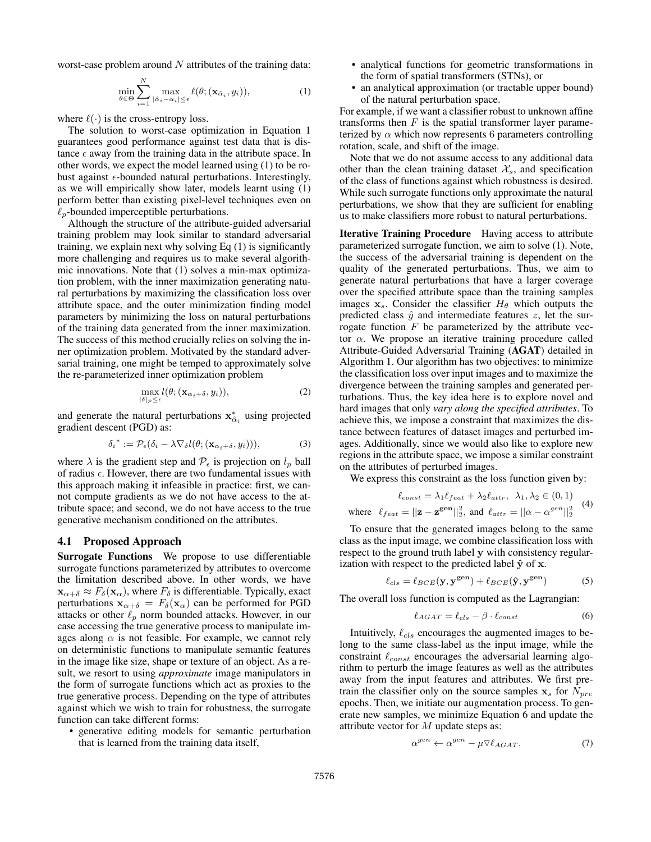worst-case problem around  $N$  attributes of the training data:

$$
\min_{\theta \in \Theta} \sum_{i=1}^{N} \max_{|\hat{\alpha}_i - \alpha_i| \leq \epsilon} \ell(\theta; (\mathbf{x}_{\hat{\alpha}_i}, y_i)), \tag{1}
$$

where  $\ell(\cdot)$  is the cross-entropy loss.

The solution to worst-case optimization in Equation 1 guarantees good performance against test data that is distance  $\epsilon$  away from the training data in the attribute space. In other words, we expect the model learned using (1) to be robust against  $\epsilon$ -bounded natural perturbations. Interestingly, as we will empirically show later, models learnt using (1) perform better than existing pixel-level techniques even on  $\ell_p$ -bounded imperceptible perturbations.

Although the structure of the attribute-guided adversarial training problem may look similar to standard adversarial training, we explain next why solving Eq (1) is significantly more challenging and requires us to make several algorithmic innovations. Note that (1) solves a min-max optimization problem, with the inner maximization generating natural perturbations by maximizing the classification loss over attribute space, and the outer minimization finding model parameters by minimizing the loss on natural perturbations of the training data generated from the inner maximization. The success of this method crucially relies on solving the inner optimization problem. Motivated by the standard adversarial training, one might be temped to approximately solve the re-parameterized inner optimization problem

$$
\max_{|\delta|_p \le \epsilon} l(\theta; (\mathbf{x}_{\alpha_i + \delta}, y_i)), \tag{2}
$$

and generate the natural perturbations  $\mathbf{x}_{\hat{\alpha}_i}^*$  using projected gradient descent (PGD) as:

$$
\delta_i^* := \mathcal{P}_{\epsilon}(\delta_i - \lambda \nabla_{\delta} l(\theta; (\mathbf{x}_{\alpha_i + \delta}, y_i))), \tag{3}
$$

where  $\lambda$  is the gradient step and  $P_{\epsilon}$  is projection on  $l_p$  ball of radius  $\epsilon$ . However, there are two fundamental issues with this approach making it infeasible in practice: first, we cannot compute gradients as we do not have access to the attribute space; and second, we do not have access to the true generative mechanism conditioned on the attributes.

## 4.1 Proposed Approach

Surrogate Functions We propose to use differentiable surrogate functions parameterized by attributes to overcome the limitation described above. In other words, we have  $\mathbf{x}_{\alpha+\delta} \approx F_{\delta}(\mathbf{x}_{\alpha})$ , where  $F_{\delta}$  is differentiable. Typically, exact perturbations  $\mathbf{x}_{\alpha+\delta} = F_{\delta}(\mathbf{x}_{\alpha})$  can be performed for PGD attacks or other  $\ell_p$  norm bounded attacks. However, in our case accessing the true generative process to manipulate images along  $\alpha$  is not feasible. For example, we cannot rely on deterministic functions to manipulate semantic features in the image like size, shape or texture of an object. As a result, we resort to using *approximate* image manipulators in the form of surrogate functions which act as proxies to the true generative process. Depending on the type of attributes against which we wish to train for robustness, the surrogate function can take different forms:

• generative editing models for semantic perturbation that is learned from the training data itself,

- analytical functions for geometric transformations in the form of spatial transformers (STNs), or
- an analytical approximation (or tractable upper bound) of the natural perturbation space.

For example, if we want a classifier robust to unknown affine transforms then  $F$  is the spatial transformer layer parameterized by  $\alpha$  which now represents 6 parameters controlling rotation, scale, and shift of the image.

Note that we do not assume access to any additional data other than the clean training dataset  $\mathcal{X}_s$ , and specification of the class of functions against which robustness is desired. While such surrogate functions only approximate the natural perturbations, we show that they are sufficient for enabling us to make classifiers more robust to natural perturbations.

Iterative Training Procedure Having access to attribute parameterized surrogate function, we aim to solve (1). Note, the success of the adversarial training is dependent on the quality of the generated perturbations. Thus, we aim to generate natural perturbations that have a larger coverage over the specified attribute space than the training samples images  $x_s$ . Consider the classifier  $H_\theta$  which outputs the predicted class  $\hat{y}$  and intermediate features z, let the surrogate function  $F$  be parameterized by the attribute vector  $\alpha$ . We propose an iterative training procedure called Attribute-Guided Adversarial Training (AGAT) detailed in Algorithm 1. Our algorithm has two objectives: to minimize the classification loss over input images and to maximize the divergence between the training samples and generated perturbations. Thus, the key idea here is to explore novel and hard images that only *vary along the specified attributes*. To achieve this, we impose a constraint that maximizes the distance between features of dataset images and perturbed images. Additionally, since we would also like to explore new regions in the attribute space, we impose a similar constraint on the attributes of perturbed images.

We express this constraint as the loss function given by:

$$
\ell_{const} = \lambda_1 \ell_{feat} + \lambda_2 \ell_{attr}, \ \lambda_1, \lambda_2 \in (0, 1)
$$
  
where  $\ell_{feat} = ||\mathbf{z} - \mathbf{z}^{gen}||_2^2$ , and  $\ell_{attr} = ||\alpha - \alpha^{gen}||_2^2$  (4)

To ensure that the generated images belong to the same class as the input image, we combine classification loss with respect to the ground truth label y with consistency regularization with respect to the predicted label  $\hat{y}$  of x.

$$
\ell_{cls} = \ell_{BCE}(\mathbf{y}, \mathbf{y}^{\text{gen}}) + \ell_{BCE}(\hat{\mathbf{y}}, \mathbf{y}^{\text{gen}})
$$
 (5)

The overall loss function is computed as the Lagrangian:

$$
\ell_{AGAT} = \ell_{cls} - \beta \cdot \ell_{const} \tag{6}
$$

Intuitively,  $\ell_{cls}$  encourages the augmented images to belong to the same class-label as the input image, while the constraint  $\ell_{const}$  encourages the adversarial learning algorithm to perturb the image features as well as the attributes away from the input features and attributes. We first pretrain the classifier only on the source samples  $x_s$  for  $N_{pre}$ epochs. Then, we initiate our augmentation process. To generate new samples, we minimize Equation 6 and update the attribute vector for M update steps as:

$$
\alpha^{gen} \leftarrow \alpha^{gen} - \mu \nabla \ell_{AGAT}.\tag{7}
$$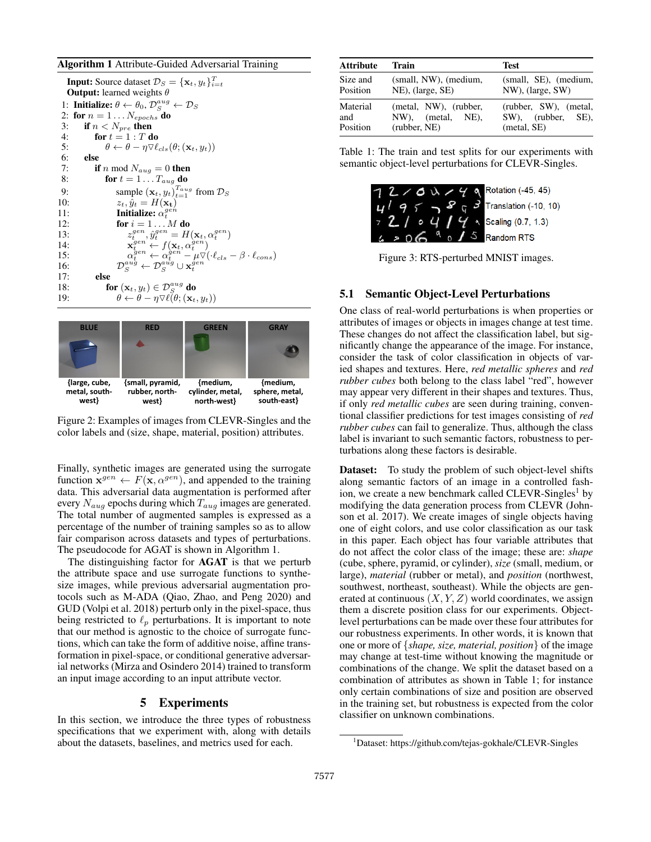#### Algorithm 1 Attribute-Guided Adversarial Training

|     | <b>Input:</b> Source dataset $\mathcal{D}_S = {\mathbf{x}_t, y_t}_{i=t}^T$                                                                                                                              |
|-----|---------------------------------------------------------------------------------------------------------------------------------------------------------------------------------------------------------|
|     | <b>Output:</b> learned weights $\theta$                                                                                                                                                                 |
|     | 1: Initialize: $\theta \leftarrow \theta_0$ , $\mathcal{D}_S^{aug} \leftarrow \mathcal{D}_S$                                                                                                            |
|     | 2: for $n = 1 \dots N_{epochs}$ do                                                                                                                                                                      |
| 3:  | if $n < N_{pre}$ then                                                                                                                                                                                   |
| 4:  | for $t=1:T$ do                                                                                                                                                                                          |
| 5:  | $\theta \leftarrow \theta - \eta \nabla \ell_{cls}(\theta; (\mathbf{x}_t, y_t))$                                                                                                                        |
| 6:  | else                                                                                                                                                                                                    |
| 7:  | <b>if</b> n mod $N_{aug} = 0$ then                                                                                                                                                                      |
| 8:  | for $t = 1 \ldots T_{aug}$ do                                                                                                                                                                           |
| 9:  | sample $(\mathbf{x}_t, y_t)_{t=1}^{T_{aug}}$ from $\mathcal{D}_S$                                                                                                                                       |
| 10: | $z_t, \hat{y}_t = H(\mathbf{x_t})$                                                                                                                                                                      |
| 11: | Initialize: $\alpha_t^{gen}$                                                                                                                                                                            |
| 12: | for $i=1M$ do                                                                                                                                                                                           |
| 13: | $z_t^{gen}, \hat{y}_t^{gen} = H(\mathbf{x}_t, \alpha_t^{gen})$                                                                                                                                          |
| 14: | $\mathbf{x}_t^{gen} \leftarrow f(\mathbf{x}_t, \alpha_t^{gen})$                                                                                                                                         |
| 15: | $\mathcal{D}_{S}^{gen} \leftarrow \alpha_{t}^{\hat{gen}} - \mu \nabla (\cdot \ell_{cls} - \beta \cdot \ell_{cons}) \\ \mathcal{D}_{S}^{aug} \leftarrow \mathcal{D}_{S}^{aug} \cup \mathbf{x}_{t}^{gen}$ |
| 16: |                                                                                                                                                                                                         |
| 17: | else                                                                                                                                                                                                    |
| 18: | for $(\mathbf{x}_t, y_t) \in \mathcal{D}_S^{aug}$ do                                                                                                                                                    |
| 19: | $\theta \leftarrow \theta - \eta \nabla \ell(\theta; (\mathbf{x}_t, y_t))$                                                                                                                              |



Figure 2: Examples of images from CLEVR-Singles and the color labels and (size, shape, material, position) attributes.

Finally, synthetic images are generated using the surrogate function  $\mathbf{x}^{gen} \leftarrow F(\mathbf{x}, \alpha^{gen})$ , and appended to the training data. This adversarial data augmentation is performed after every  $N_{aug}$  epochs during which  $T_{aug}$  images are generated. The total number of augmented samples is expressed as a percentage of the number of training samples so as to allow fair comparison across datasets and types of perturbations. The pseudocode for AGAT is shown in Algorithm 1.

The distinguishing factor for AGAT is that we perturb the attribute space and use surrogate functions to synthesize images, while previous adversarial augmentation protocols such as M-ADA (Qiao, Zhao, and Peng 2020) and GUD (Volpi et al. 2018) perturb only in the pixel-space, thus being restricted to  $\ell_p$  perturbations. It is important to note that our method is agnostic to the choice of surrogate functions, which can take the form of additive noise, affine transformation in pixel-space, or conditional generative adversarial networks (Mirza and Osindero 2014) trained to transform an input image according to an input attribute vector.

## 5 Experiments

In this section, we introduce the three types of robustness specifications that we experiment with, along with details about the datasets, baselines, and metrics used for each.

| <b>Attribute</b> | Train                 | <b>Test</b>           |  |
|------------------|-----------------------|-----------------------|--|
| Size and         | (small, NW), (medium, | (small, SE), (medium, |  |
| Position         | NE), (large, SE)      | NW), (large, SW)      |  |
| Material         | (metal, NW), (rubber, | (rubber, SW), (metal, |  |
| and              | NW), (metal, NE),     | SW), (rubber, SE),    |  |
| Position         | (rubber, NE)          | (metal, SE)           |  |

Table 1: The train and test splits for our experiments with semantic object-level perturbations for CLEVR-Singles.



Figure 3: RTS-perturbed MNIST images.

#### 5.1 Semantic Object-Level Perturbations

One class of real-world perturbations is when properties or attributes of images or objects in images change at test time. These changes do not affect the classification label, but significantly change the appearance of the image. For instance, consider the task of color classification in objects of varied shapes and textures. Here, *red metallic spheres* and *red rubber cubes* both belong to the class label "red", however may appear very different in their shapes and textures. Thus, if only *red metallic cubes* are seen during training, conventional classifier predictions for test images consisting of *red rubber cubes* can fail to generalize. Thus, although the class label is invariant to such semantic factors, robustness to perturbations along these factors is desirable.

**Dataset:** To study the problem of such object-level shifts along semantic factors of an image in a controlled fashion, we create a new benchmark called  $CLEVR-Singles<sup>1</sup>$  by modifying the data generation process from CLEVR (Johnson et al. 2017). We create images of single objects having one of eight colors, and use color classification as our task in this paper. Each object has four variable attributes that do not affect the color class of the image; these are: *shape* (cube, sphere, pyramid, or cylinder), *size* (small, medium, or large), *material* (rubber or metal), and *position* (northwest, southwest, northeast, southeast). While the objects are generated at continuous  $(X, Y, Z)$  world coordinates, we assign them a discrete position class for our experiments. Objectlevel perturbations can be made over these four attributes for our robustness experiments. In other words, it is known that one or more of {*shape, size, material, position*} of the image may change at test-time without knowing the magnitude or combinations of the change. We split the dataset based on a combination of attributes as shown in Table 1; for instance only certain combinations of size and position are observed in the training set, but robustness is expected from the color classifier on unknown combinations.

<sup>&</sup>lt;sup>1</sup>Dataset: https://github.com/tejas-gokhale/CLEVR-Singles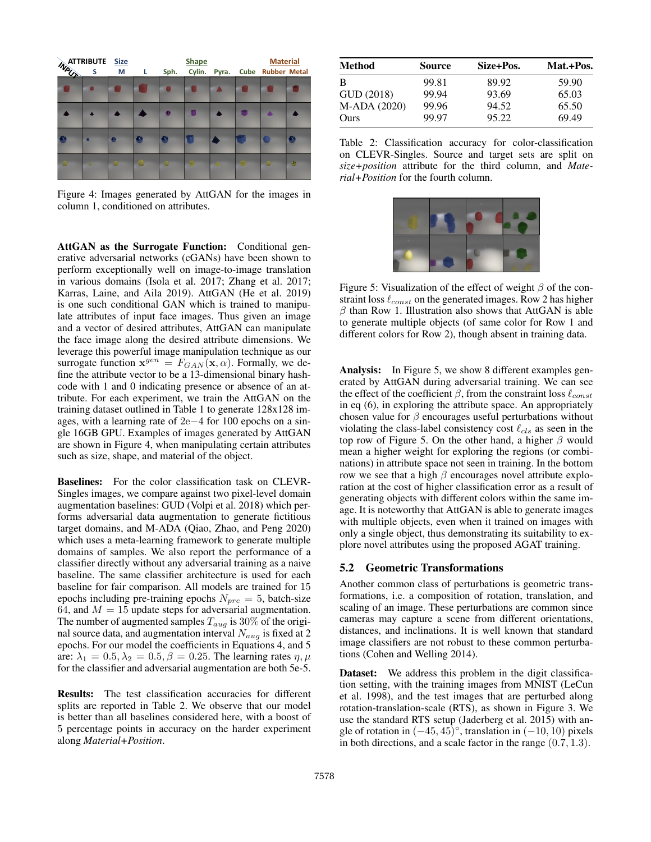| <b>WATTRIBUTE</b> Size |   |   |   | <b>Shape</b> |        |       |  | <b>Material</b>   |   |
|------------------------|---|---|---|--------------|--------|-------|--|-------------------|---|
|                        |   |   | L | Sph.         | Cylin. | Pyra. |  | Cube Rubber Metal |   |
|                        |   |   |   |              |        |       |  |                   |   |
|                        |   |   |   | ø            | н      |       |  |                   |   |
|                        | × | ø | × |              |        |       |  |                   |   |
|                        |   |   |   |              |        |       |  |                   | 西 |

Figure 4: Images generated by AttGAN for the images in column 1, conditioned on attributes.

AttGAN as the Surrogate Function: Conditional generative adversarial networks (cGANs) have been shown to perform exceptionally well on image-to-image translation in various domains (Isola et al. 2017; Zhang et al. 2017; Karras, Laine, and Aila 2019). AttGAN (He et al. 2019) is one such conditional GAN which is trained to manipulate attributes of input face images. Thus given an image and a vector of desired attributes, AttGAN can manipulate the face image along the desired attribute dimensions. We leverage this powerful image manipulation technique as our surrogate function  $\mathbf{x}^{gen} = F_{GAN}(\mathbf{x}, \alpha)$ . Formally, we define the attribute vector to be a 13-dimensional binary hashcode with 1 and 0 indicating presence or absence of an attribute. For each experiment, we train the AttGAN on the training dataset outlined in Table 1 to generate 128x128 images, with a learning rate of 2e−4 for 100 epochs on a single 16GB GPU. Examples of images generated by AttGAN are shown in Figure 4, when manipulating certain attributes such as size, shape, and material of the object.

Baselines: For the color classification task on CLEVR-Singles images, we compare against two pixel-level domain augmentation baselines: GUD (Volpi et al. 2018) which performs adversarial data augmentation to generate fictitious target domains, and M-ADA (Qiao, Zhao, and Peng 2020) which uses a meta-learning framework to generate multiple domains of samples. We also report the performance of a classifier directly without any adversarial training as a naive baseline. The same classifier architecture is used for each baseline for fair comparison. All models are trained for 15 epochs including pre-training epochs  $N_{pre} = 5$ , batch-size 64, and  $M = 15$  update steps for adversarial augmentation. The number of augmented samples  $T_{aug}$  is 30% of the original source data, and augmentation interval  $N_{aug}$  is fixed at 2 epochs. For our model the coefficients in Equations 4, and 5 are:  $\lambda_1 = 0.5, \lambda_2 = 0.5, \beta = 0.25$ . The learning rates  $\eta, \mu$ for the classifier and adversarial augmentation are both 5e-5.

Results: The test classification accuracies for different splits are reported in Table 2. We observe that our model is better than all baselines considered here, with a boost of 5 percentage points in accuracy on the harder experiment along *Material+Position*.

| <b>Method</b> | <b>Source</b> | Size+Pos. | Mat.+Pos. |
|---------------|---------------|-----------|-----------|
| B             | 99.81         | 89.92     | 59.90     |
| GUD (2018)    | 99.94         | 93.69     | 65.03     |
| M-ADA (2020)  | 99.96         | 94.52     | 65.50     |
| Ours          | 99.97         | 95.22     | 69.49     |

Table 2: Classification accuracy for color-classification on CLEVR-Singles. Source and target sets are split on *size+position* attribute for the third column, and *Material+Position* for the fourth column.



Figure 5: Visualization of the effect of weight  $\beta$  of the constraint loss  $\ell_{const}$  on the generated images. Row 2 has higher  $\beta$  than Row 1. Illustration also shows that AttGAN is able to generate multiple objects (of same color for Row 1 and different colors for Row 2), though absent in training data.

Analysis: In Figure 5, we show 8 different examples generated by AttGAN during adversarial training. We can see the effect of the coefficient  $\beta$ , from the constraint loss  $\ell_{const}$ in eq (6), in exploring the attribute space. An appropriately chosen value for  $\beta$  encourages useful perturbations without violating the class-label consistency cost  $\ell_{cls}$  as seen in the top row of Figure 5. On the other hand, a higher  $\beta$  would mean a higher weight for exploring the regions (or combinations) in attribute space not seen in training. In the bottom row we see that a high  $\beta$  encourages novel attribute exploration at the cost of higher classification error as a result of generating objects with different colors within the same image. It is noteworthy that AttGAN is able to generate images with multiple objects, even when it trained on images with only a single object, thus demonstrating its suitability to explore novel attributes using the proposed AGAT training.

# 5.2 Geometric Transformations

Another common class of perturbations is geometric transformations, i.e. a composition of rotation, translation, and scaling of an image. These perturbations are common since cameras may capture a scene from different orientations, distances, and inclinations. It is well known that standard image classifiers are not robust to these common perturbations (Cohen and Welling 2014).

**Dataset:** We address this problem in the digit classification setting, with the training images from MNIST (LeCun et al. 1998), and the test images that are perturbed along rotation-translation-scale (RTS), as shown in Figure 3. We use the standard RTS setup (Jaderberg et al. 2015) with angle of rotation in  $(-45, 45)^\circ$ , translation in  $(-10, 10)$  pixels in both directions, and a scale factor in the range (0.7, 1.3).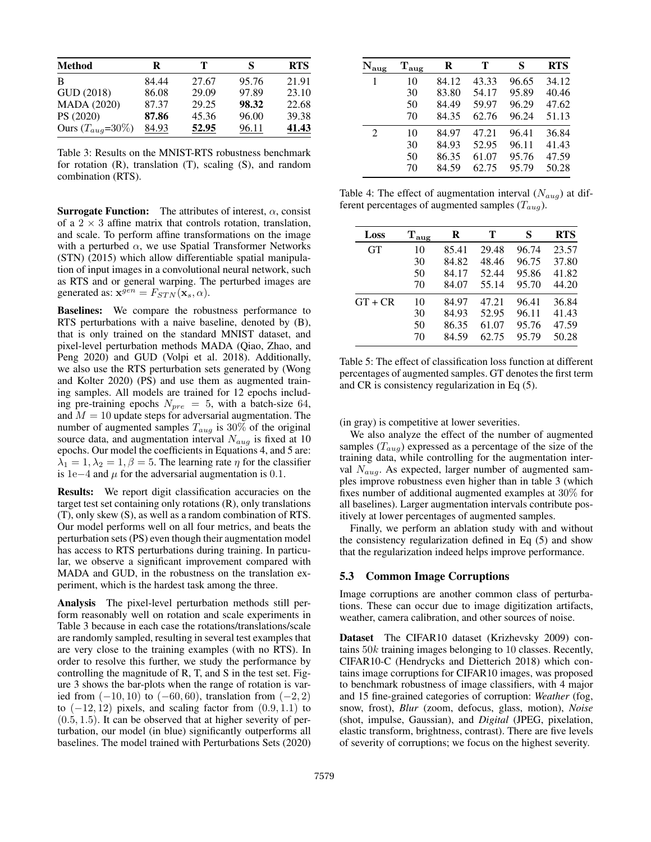| <b>Method</b>         | R     | т     | S     | <b>RTS</b> |
|-----------------------|-------|-------|-------|------------|
| B                     | 84.44 | 27.67 | 95.76 | 21.91      |
| GUD (2018)            | 86.08 | 29.09 | 97.89 | 23.10      |
| <b>MADA (2020)</b>    | 87.37 | 29.25 | 98.32 | 22.68      |
| PS (2020)             | 87.86 | 45.36 | 96.00 | 39.38      |
| Ours $(T_{aug}=30\%)$ | 84.93 | 52.95 | 96.11 | 41.43      |

Table 3: Results on the MNIST-RTS robustness benchmark for rotation (R), translation (T), scaling (S), and random combination (RTS).

**Surrogate Function:** The attributes of interest,  $\alpha$ , consist of a  $2 \times 3$  affine matrix that controls rotation, translation, and scale. To perform affine transformations on the image with a perturbed  $\alpha$ , we use Spatial Transformer Networks (STN) (2015) which allow differentiable spatial manipulation of input images in a convolutional neural network, such as RTS and or general warping. The perturbed images are generated as:  $\mathbf{x}^{gen} = F_{STN}(\mathbf{x}_s, \alpha)$ .

Baselines: We compare the robustness performance to RTS perturbations with a naive baseline, denoted by (B), that is only trained on the standard MNIST dataset, and pixel-level perturbation methods MADA (Qiao, Zhao, and Peng 2020) and GUD (Volpi et al. 2018). Additionally, we also use the RTS perturbation sets generated by (Wong and Kolter 2020) (PS) and use them as augmented training samples. All models are trained for 12 epochs including pre-training epochs  $N_{pre} = 5$ , with a batch-size 64, and  $M = 10$  update steps for adversarial augmentation. The number of augmented samples  $T_{aug}$  is 30% of the original source data, and augmentation interval  $N_{aug}$  is fixed at 10 epochs. Our model the coefficients in Equations 4, and 5 are:  $\lambda_1 = 1, \lambda_2 = 1, \beta = 5$ . The learning rate  $\eta$  for the classifier is 1e−4 and  $\mu$  for the adversarial augmentation is 0.1.

Results: We report digit classification accuracies on the target test set containing only rotations (R), only translations (T), only skew (S), as well as a random combination of RTS. Our model performs well on all four metrics, and beats the perturbation sets (PS) even though their augmentation model has access to RTS perturbations during training. In particular, we observe a significant improvement compared with MADA and GUD, in the robustness on the translation experiment, which is the hardest task among the three.

Analysis The pixel-level perturbation methods still perform reasonably well on rotation and scale experiments in Table 3 because in each case the rotations/translations/scale are randomly sampled, resulting in several test examples that are very close to the training examples (with no RTS). In order to resolve this further, we study the performance by controlling the magnitude of R, T, and S in the test set. Figure 3 shows the bar-plots when the range of rotation is varied from  $(-10, 10)$  to  $(-60, 60)$ , translation from  $(-2, 2)$ to  $(-12, 12)$  pixels, and scaling factor from  $(0.9, 1.1)$  to  $(0.5, 1.5)$ . It can be observed that at higher severity of perturbation, our model (in blue) significantly outperforms all baselines. The model trained with Perturbations Sets (2020)

| $\rm N_{aug}$ | $T_{\rm aug}$ | $\bf R$ | т     | S     | <b>RTS</b> |
|---------------|---------------|---------|-------|-------|------------|
| 1             | 10            | 84.12   | 43.33 | 96.65 | 34.12      |
|               | 30            | 83.80   | 54.17 | 95.89 | 40.46      |
|               | 50            | 84.49   | 59.97 | 96.29 | 47.62      |
|               | 70            | 84.35   | 62.76 | 96.24 | 51.13      |
| 2             | 10            | 84.97   | 47.21 | 96.41 | 36.84      |
|               | 30            | 84.93   | 52.95 | 96.11 | 41.43      |
|               | 50            | 86.35   | 61.07 | 95.76 | 47.59      |
|               | 70            | 84.59   | 62.75 | 95.79 | 50.28      |
|               |               |         |       |       |            |

Table 4: The effect of augmentation interval  $(N_{aug})$  at different percentages of augmented samples  $(T_{aug})$ .

| Loss      | $T_{\rm aug}$ | R     | т     | S     | <b>RTS</b> |
|-----------|---------------|-------|-------|-------|------------|
| <b>GT</b> | 10            | 85.41 | 29.48 | 96.74 | 23.57      |
|           | 30            | 84.82 | 48.46 | 96.75 | 37.80      |
|           | 50            | 84.17 | 52.44 | 95.86 | 41.82      |
|           | 70            | 84.07 | 55.14 | 95.70 | 44.20      |
| $GT + CR$ | 10            | 84.97 | 47.21 | 96.41 | 36.84      |
|           | 30            | 84.93 | 52.95 | 96.11 | 41.43      |
|           | 50            | 86.35 | 61.07 | 95.76 | 47.59      |
|           | 70            | 84.59 | 62.75 | 95.79 | 50.28      |
|           |               |       |       |       |            |

Table 5: The effect of classification loss function at different percentages of augmented samples. GT denotes the first term and CR is consistency regularization in Eq (5).

#### (in gray) is competitive at lower severities.

We also analyze the effect of the number of augmented samples  $(T_{aug})$  expressed as a percentage of the size of the training data, while controlling for the augmentation interval  $N_{aug}$ . As expected, larger number of augmented samples improve robustness even higher than in table 3 (which fixes number of additional augmented examples at 30% for all baselines). Larger augmentation intervals contribute positively at lower percentages of augmented samples.

Finally, we perform an ablation study with and without the consistency regularization defined in Eq (5) and show that the regularization indeed helps improve performance.

#### 5.3 Common Image Corruptions

Image corruptions are another common class of perturbations. These can occur due to image digitization artifacts, weather, camera calibration, and other sources of noise.

Dataset The CIFAR10 dataset (Krizhevsky 2009) contains 50k training images belonging to 10 classes. Recently, CIFAR10-C (Hendrycks and Dietterich 2018) which contains image corruptions for CIFAR10 images, was proposed to benchmark robustness of image classifiers, with 4 major and 15 fine-grained categories of corruption: *Weather* (fog, snow, frost), *Blur* (zoom, defocus, glass, motion), *Noise* (shot, impulse, Gaussian), and *Digital* (JPEG, pixelation, elastic transform, brightness, contrast). There are five levels of severity of corruptions; we focus on the highest severity.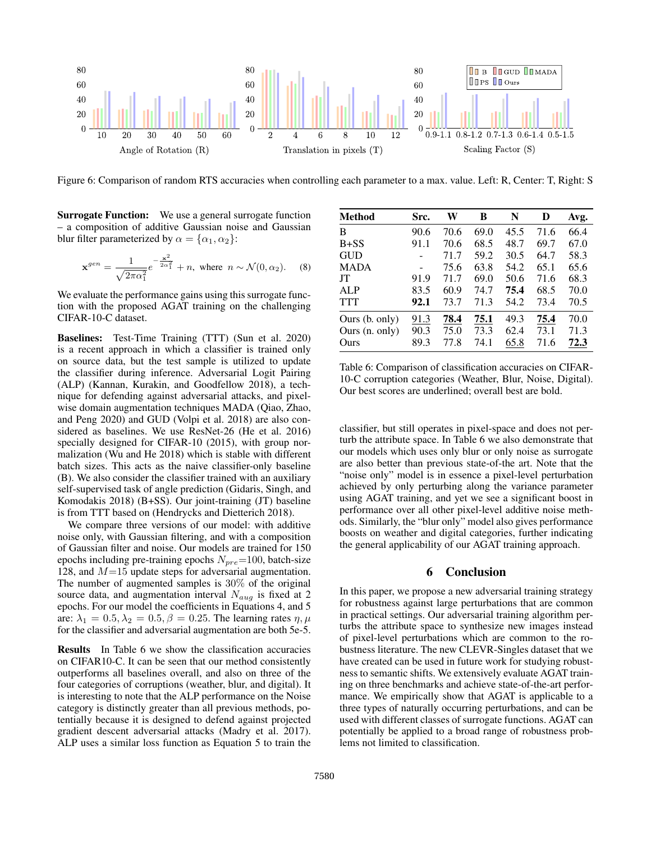

Figure 6: Comparison of random RTS accuracies when controlling each parameter to a max. value. Left: R, Center: T, Right: S

Surrogate Function: We use a general surrogate function – a composition of additive Gaussian noise and Gaussian blur filter parameterized by  $\alpha = {\alpha_1, \alpha_2}$ :

$$
\mathbf{x}^{gen} = \frac{1}{\sqrt{2\pi\alpha_1^2}} e^{-\frac{\mathbf{x}^2}{2\alpha_1^2}} + n, \text{ where } n \sim \mathcal{N}(0, \alpha_2). \tag{8}
$$

We evaluate the performance gains using this surrogate function with the proposed AGAT training on the challenging CIFAR-10-C dataset.

Baselines: Test-Time Training (TTT) (Sun et al. 2020) is a recent approach in which a classifier is trained only on source data, but the test sample is utilized to update the classifier during inference. Adversarial Logit Pairing (ALP) (Kannan, Kurakin, and Goodfellow 2018), a technique for defending against adversarial attacks, and pixelwise domain augmentation techniques MADA (Qiao, Zhao, and Peng 2020) and GUD (Volpi et al. 2018) are also considered as baselines. We use ResNet-26 (He et al. 2016) specially designed for CIFAR-10 (2015), with group normalization (Wu and He 2018) which is stable with different batch sizes. This acts as the naive classifier-only baseline (B). We also consider the classifier trained with an auxiliary self-supervised task of angle prediction (Gidaris, Singh, and Komodakis 2018) (B+SS). Our joint-training (JT) baseline is from TTT based on (Hendrycks and Dietterich 2018).

We compare three versions of our model: with additive noise only, with Gaussian filtering, and with a composition of Gaussian filter and noise. Our models are trained for 150 epochs including pre-training epochs  $N_{pre}=100$ , batch-size 128, and  $M=15$  update steps for adversarial augmentation. The number of augmented samples is 30% of the original source data, and augmentation interval  $N_{aug}$  is fixed at 2 epochs. For our model the coefficients in Equations 4, and 5 are:  $\lambda_1 = 0.5, \lambda_2 = 0.5, \beta = 0.25$ . The learning rates  $\eta, \mu$ for the classifier and adversarial augmentation are both 5e-5.

Results In Table 6 we show the classification accuracies on CIFAR10-C. It can be seen that our method consistently outperforms all baselines overall, and also on three of the four categories of corruptions (weather, blur, and digital). It is interesting to note that the ALP performance on the Noise category is distinctly greater than all previous methods, potentially because it is designed to defend against projected gradient descent adversarial attacks (Madry et al. 2017). ALP uses a similar loss function as Equation 5 to train the

| <b>Method</b>  | Src. | W    | B    | N    | D    | Avg. |
|----------------|------|------|------|------|------|------|
| B              | 90.6 | 70.6 | 69.0 | 45.5 | 71.6 | 66.4 |
| $B + SS$       | 91.1 | 70.6 | 68.5 | 48.7 | 69.7 | 67.0 |
| <b>GUD</b>     |      | 71.7 | 59.2 | 30.5 | 64.7 | 58.3 |
| <b>MADA</b>    |      | 75.6 | 63.8 | 54.2 | 65.1 | 65.6 |
| JT             | 91.9 | 71.7 | 69.0 | 50.6 | 71.6 | 68.3 |
| <b>ALP</b>     | 83.5 | 60.9 | 74.7 | 75.4 | 68.5 | 70.0 |
| <b>TTT</b>     | 92.1 | 73.7 | 71.3 | 54.2 | 73.4 | 70.5 |
| Ours (b. only) | 91.3 | 78.4 | 75.1 | 49.3 | 75.4 | 70.0 |
| Ours (n. only) | 90.3 | 75.0 | 73.3 | 62.4 | 73.1 | 71.3 |
| Ours           | 89.3 | 77.8 | 74.1 | 65.8 | 71.6 | 72.3 |

Table 6: Comparison of classification accuracies on CIFAR-10-C corruption categories (Weather, Blur, Noise, Digital). Our best scores are underlined; overall best are bold.

classifier, but still operates in pixel-space and does not perturb the attribute space. In Table 6 we also demonstrate that our models which uses only blur or only noise as surrogate are also better than previous state-of-the art. Note that the "noise only" model is in essence a pixel-level perturbation achieved by only perturbing along the variance parameter using AGAT training, and yet we see a significant boost in performance over all other pixel-level additive noise methods. Similarly, the "blur only" model also gives performance boosts on weather and digital categories, further indicating the general applicability of our AGAT training approach.

# 6 Conclusion

In this paper, we propose a new adversarial training strategy for robustness against large perturbations that are common in practical settings. Our adversarial training algorithm perturbs the attribute space to synthesize new images instead of pixel-level perturbations which are common to the robustness literature. The new CLEVR-Singles dataset that we have created can be used in future work for studying robustness to semantic shifts. We extensively evaluate AGAT training on three benchmarks and achieve state-of-the-art performance. We empirically show that AGAT is applicable to a three types of naturally occurring perturbations, and can be used with different classes of surrogate functions. AGAT can potentially be applied to a broad range of robustness problems not limited to classification.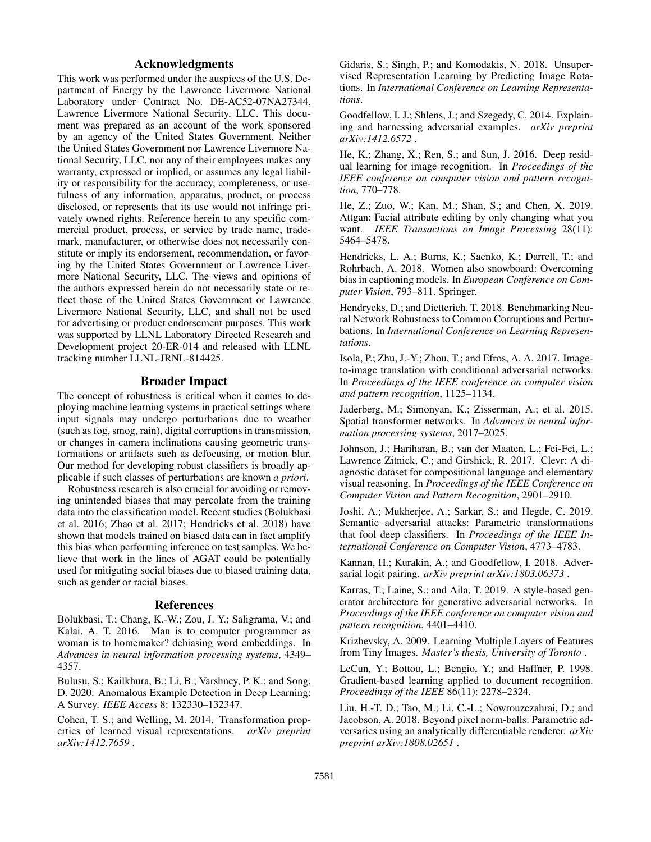# Acknowledgments

This work was performed under the auspices of the U.S. Department of Energy by the Lawrence Livermore National Laboratory under Contract No. DE-AC52-07NA27344, Lawrence Livermore National Security, LLC. This document was prepared as an account of the work sponsored by an agency of the United States Government. Neither the United States Government nor Lawrence Livermore National Security, LLC, nor any of their employees makes any warranty, expressed or implied, or assumes any legal liability or responsibility for the accuracy, completeness, or usefulness of any information, apparatus, product, or process disclosed, or represents that its use would not infringe privately owned rights. Reference herein to any specific commercial product, process, or service by trade name, trademark, manufacturer, or otherwise does not necessarily constitute or imply its endorsement, recommendation, or favoring by the United States Government or Lawrence Livermore National Security, LLC. The views and opinions of the authors expressed herein do not necessarily state or reflect those of the United States Government or Lawrence Livermore National Security, LLC, and shall not be used for advertising or product endorsement purposes. This work was supported by LLNL Laboratory Directed Research and Development project 20-ER-014 and released with LLNL tracking number LLNL-JRNL-814425.

### Broader Impact

The concept of robustness is critical when it comes to deploying machine learning systems in practical settings where input signals may undergo perturbations due to weather (such as fog, smog, rain), digital corruptions in transmission, or changes in camera inclinations causing geometric transformations or artifacts such as defocusing, or motion blur. Our method for developing robust classifiers is broadly applicable if such classes of perturbations are known *a priori*.

Robustness research is also crucial for avoiding or removing unintended biases that may percolate from the training data into the classification model. Recent studies (Bolukbasi et al. 2016; Zhao et al. 2017; Hendricks et al. 2018) have shown that models trained on biased data can in fact amplify this bias when performing inference on test samples. We believe that work in the lines of AGAT could be potentially used for mitigating social biases due to biased training data, such as gender or racial biases.

#### References

Bolukbasi, T.; Chang, K.-W.; Zou, J. Y.; Saligrama, V.; and Kalai, A. T. 2016. Man is to computer programmer as woman is to homemaker? debiasing word embeddings. In *Advances in neural information processing systems*, 4349– 4357.

Bulusu, S.; Kailkhura, B.; Li, B.; Varshney, P. K.; and Song, D. 2020. Anomalous Example Detection in Deep Learning: A Survey. *IEEE Access* 8: 132330–132347.

Cohen, T. S.; and Welling, M. 2014. Transformation properties of learned visual representations. *arXiv preprint arXiv:1412.7659* .

Gidaris, S.; Singh, P.; and Komodakis, N. 2018. Unsupervised Representation Learning by Predicting Image Rotations. In *International Conference on Learning Representations*.

Goodfellow, I. J.; Shlens, J.; and Szegedy, C. 2014. Explaining and harnessing adversarial examples. *arXiv preprint arXiv:1412.6572* .

He, K.; Zhang, X.; Ren, S.; and Sun, J. 2016. Deep residual learning for image recognition. In *Proceedings of the IEEE conference on computer vision and pattern recognition*, 770–778.

He, Z.; Zuo, W.; Kan, M.; Shan, S.; and Chen, X. 2019. Attgan: Facial attribute editing by only changing what you want. *IEEE Transactions on Image Processing* 28(11): 5464–5478.

Hendricks, L. A.; Burns, K.; Saenko, K.; Darrell, T.; and Rohrbach, A. 2018. Women also snowboard: Overcoming bias in captioning models. In *European Conference on Computer Vision*, 793–811. Springer.

Hendrycks, D.; and Dietterich, T. 2018. Benchmarking Neural Network Robustness to Common Corruptions and Perturbations. In *International Conference on Learning Representations*.

Isola, P.; Zhu, J.-Y.; Zhou, T.; and Efros, A. A. 2017. Imageto-image translation with conditional adversarial networks. In *Proceedings of the IEEE conference on computer vision and pattern recognition*, 1125–1134.

Jaderberg, M.; Simonyan, K.; Zisserman, A.; et al. 2015. Spatial transformer networks. In *Advances in neural information processing systems*, 2017–2025.

Johnson, J.; Hariharan, B.; van der Maaten, L.; Fei-Fei, L.; Lawrence Zitnick, C.; and Girshick, R. 2017. Clevr: A diagnostic dataset for compositional language and elementary visual reasoning. In *Proceedings of the IEEE Conference on Computer Vision and Pattern Recognition*, 2901–2910.

Joshi, A.; Mukherjee, A.; Sarkar, S.; and Hegde, C. 2019. Semantic adversarial attacks: Parametric transformations that fool deep classifiers. In *Proceedings of the IEEE International Conference on Computer Vision*, 4773–4783.

Kannan, H.; Kurakin, A.; and Goodfellow, I. 2018. Adversarial logit pairing. *arXiv preprint arXiv:1803.06373* .

Karras, T.; Laine, S.; and Aila, T. 2019. A style-based generator architecture for generative adversarial networks. In *Proceedings of the IEEE conference on computer vision and pattern recognition*, 4401–4410.

Krizhevsky, A. 2009. Learning Multiple Layers of Features from Tiny Images. *Master's thesis, University of Toronto* .

LeCun, Y.; Bottou, L.; Bengio, Y.; and Haffner, P. 1998. Gradient-based learning applied to document recognition. *Proceedings of the IEEE* 86(11): 2278–2324.

Liu, H.-T. D.; Tao, M.; Li, C.-L.; Nowrouzezahrai, D.; and Jacobson, A. 2018. Beyond pixel norm-balls: Parametric adversaries using an analytically differentiable renderer. *arXiv preprint arXiv:1808.02651* .